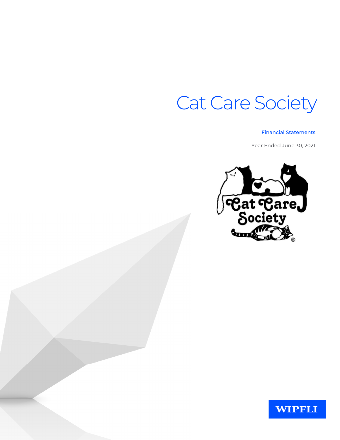# Cat Care Society

#### Financial Statements

Year Ended June 30, 2021



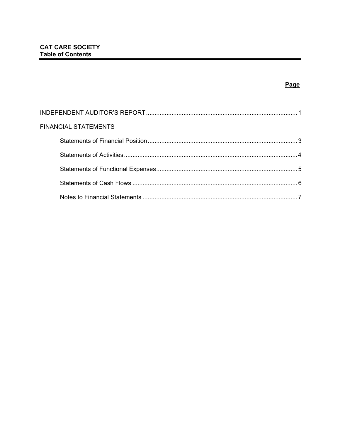# Page

| <b>FINANCIAL STATEMENTS</b> |  |
|-----------------------------|--|
|                             |  |
|                             |  |
|                             |  |
|                             |  |
|                             |  |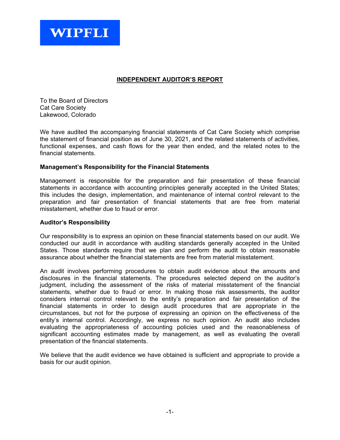

# **INDEPENDENT AUDITOR'S REPORT**

To the Board of Directors Cat Care Society Lakewood, Colorado

We have audited the accompanying financial statements of Cat Care Society which comprise the statement of financial position as of June 30, 2021, and the related statements of activities, functional expenses, and cash flows for the year then ended, and the related notes to the financial statements.

## **Management's Responsibility for the Financial Statements**

Management is responsible for the preparation and fair presentation of these financial statements in accordance with accounting principles generally accepted in the United States; this includes the design, implementation, and maintenance of internal control relevant to the preparation and fair presentation of financial statements that are free from material misstatement, whether due to fraud or error.

## **Auditor's Responsibility**

Our responsibility is to express an opinion on these financial statements based on our audit. We conducted our audit in accordance with auditing standards generally accepted in the United States. Those standards require that we plan and perform the audit to obtain reasonable assurance about whether the financial statements are free from material misstatement.

An audit involves performing procedures to obtain audit evidence about the amounts and disclosures in the financial statements. The procedures selected depend on the auditor's judgment, including the assessment of the risks of material misstatement of the financial statements, whether due to fraud or error. In making those risk assessments, the auditor considers internal control relevant to the entity's preparation and fair presentation of the financial statements in order to design audit procedures that are appropriate in the circumstances, but not for the purpose of expressing an opinion on the effectiveness of the entity's internal control. Accordingly, we express no such opinion. An audit also includes evaluating the appropriateness of accounting policies used and the reasonableness of significant accounting estimates made by management, as well as evaluating the overall presentation of the financial statements.

We believe that the audit evidence we have obtained is sufficient and appropriate to provide a basis for our audit opinion.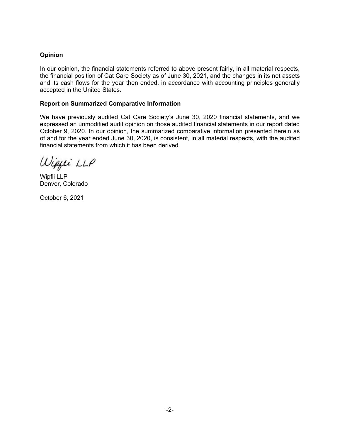# **Opinion**

In our opinion, the financial statements referred to above present fairly, in all material respects, the financial position of Cat Care Society as of June 30, 2021, and the changes in its net assets and its cash flows for the year then ended, in accordance with accounting principles generally accepted in the United States.

# **Report on Summarized Comparative Information**

We have previously audited Cat Care Society's June 30, 2020 financial statements, and we expressed an unmodified audit opinion on those audited financial statements in our report dated October 9, 2020. In our opinion, the summarized comparative information presented herein as of and for the year ended June 30, 2020, is consistent, in all material respects, with the audited financial statements from which it has been derived.

Wippei LLP

Wipfli LLP Denver, Colorado

October 6, 2021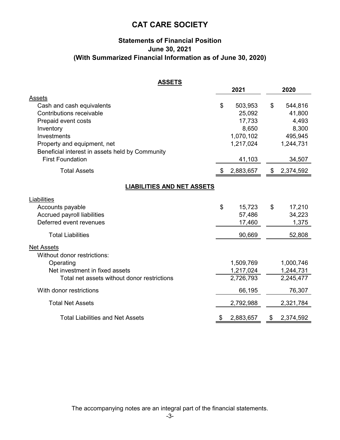# **Statements of Financial Position June 30, 2021 (With Summarized Financial Information as of June 30, 2020)**

| <b>ASSETS</b>                                   |                 |               |           |
|-------------------------------------------------|-----------------|---------------|-----------|
|                                                 | 2021            |               | 2020      |
| <b>Assets</b>                                   |                 |               |           |
| Cash and cash equivalents                       | \$<br>503,953   | \$            | 544,816   |
| Contributions receivable                        | 25,092          |               | 41,800    |
| Prepaid event costs                             | 17,733          |               | 4,493     |
| Inventory                                       | 8,650           |               | 8,300     |
| Investments                                     | 1,070,102       |               | 495,945   |
| Property and equipment, net                     | 1,217,024       |               | 1,244,731 |
| Beneficial interest in assets held by Community |                 |               |           |
| <b>First Foundation</b>                         | 41,103          |               | 34,507    |
| <b>Total Assets</b>                             | \$<br>2,883,657 | $\mathfrak s$ | 2,374,592 |
| <b>LIABILITIES AND NET ASSETS</b>               |                 |               |           |
| Liabilities                                     |                 |               |           |
| Accounts payable                                | \$<br>15,723    | \$            | 17,210    |
| Accrued payroll liabilities                     | 57,486          |               | 34,223    |
| Deferred event revenues                         | 17,460          |               | 1,375     |
| <b>Total Liabilities</b>                        | 90,669          |               | 52,808    |
| <b>Net Assets</b>                               |                 |               |           |
| Without donor restrictions:                     |                 |               |           |
| Operating                                       | 1,509,769       |               | 1,000,746 |
| Net investment in fixed assets                  | 1,217,024       |               | 1,244,731 |
| Total net assets without donor restrictions     | 2,726,793       |               | 2,245,477 |
| With donor restrictions                         | 66,195          |               | 76,307    |
| <b>Total Net Assets</b>                         | 2,792,988       |               | 2,321,784 |
| <b>Total Liabilities and Net Assets</b>         | \$<br>2,883,657 | \$            | 2,374,592 |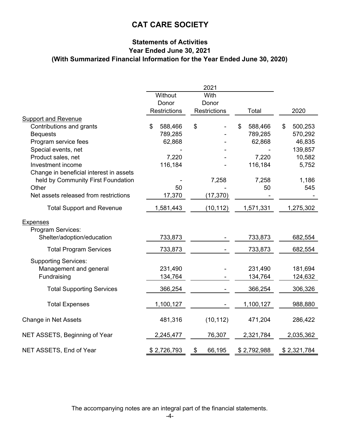# **Statements of Activities Year Ended June 30, 2021 (With Summarized Financial Information for the Year Ended June 30, 2020)**

|                                         |                     | 2021                |               |               |
|-----------------------------------------|---------------------|---------------------|---------------|---------------|
|                                         | Without             | With                |               |               |
|                                         | Donor               | Donor               |               |               |
|                                         | <b>Restrictions</b> | <b>Restrictions</b> | Total         | 2020          |
| <b>Support and Revenue</b>              |                     |                     |               |               |
| Contributions and grants                | \$<br>588,466       | \$                  | \$<br>588,466 | 500,253<br>\$ |
| <b>Bequests</b>                         | 789,285             |                     | 789,285       | 570,292       |
| Program service fees                    | 62,868              |                     | 62,868        | 46,835        |
| Special events, net                     |                     |                     |               | 139,857       |
| Product sales, net                      | 7,220               |                     | 7,220         | 10,582        |
| Investment income                       | 116,184             |                     | 116,184       | 5,752         |
| Change in beneficial interest in assets |                     |                     |               |               |
| held by Community First Foundation      |                     | 7,258               | 7,258         | 1,186         |
| Other                                   | 50                  |                     | 50            | 545           |
| Net assets released from restrictions   | 17,370              | (17, 370)           |               |               |
| <b>Total Support and Revenue</b>        | 1,581,443           | (10, 112)           | 1,571,331     | 1,275,302     |
| <b>Expenses</b>                         |                     |                     |               |               |
| Program Services:                       |                     |                     |               |               |
| Shelter/adoption/education              | 733,873             |                     | 733,873       | 682,554       |
|                                         |                     |                     |               |               |
| <b>Total Program Services</b>           | 733,873             |                     | 733,873       | 682,554       |
| <b>Supporting Services:</b>             |                     |                     |               |               |
| Management and general                  | 231,490             |                     | 231,490       | 181,694       |
| Fundraising                             | 134,764             |                     | 134,764       | 124,632       |
| <b>Total Supporting Services</b>        | 366,254             |                     | 366,254       | 306,326       |
| <b>Total Expenses</b>                   | 1,100,127           |                     | 1,100,127     | 988,880       |
|                                         |                     |                     |               |               |
| <b>Change in Net Assets</b>             | 481,316             | (10, 112)           | 471,204       | 286,422       |
| NET ASSETS, Beginning of Year           | 2,245,477           | 76,307              | 2,321,784     | 2,035,362     |
| NET ASSETS, End of Year                 | \$2,726,793         | 66,195<br>\$        | \$2,792,988   | \$2,321,784   |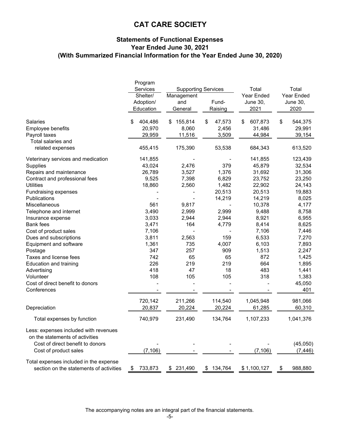# **Statements of Functional Expenses Year Ended June 30, 2021 (With Summarized Financial Information for the Year Ended June 30, 2020)**

|                                                                                                              | Program       |                                          |               |                   |                   |
|--------------------------------------------------------------------------------------------------------------|---------------|------------------------------------------|---------------|-------------------|-------------------|
|                                                                                                              | Services      | <b>Supporting Services</b><br>Management |               | Total             | Total             |
|                                                                                                              | Shelter/      |                                          |               | <b>Year Ended</b> | <b>Year Ended</b> |
|                                                                                                              | Adoption/     | and                                      | Fund-         | June 30,          | <b>June 30,</b>   |
|                                                                                                              | Education     | General                                  | Raising       | 2021              | 2020              |
| <b>Salaries</b>                                                                                              | 404,486<br>\$ | 155,814<br>\$                            | 47,573<br>\$  | \$<br>607,873     | \$<br>544,375     |
| Employee benefits                                                                                            | 20,970        | 8,060                                    | 2,456         | 31,486            | 29,991            |
| Payroll taxes                                                                                                | 29,959        | 11,516                                   | 3,509         | 44,984            | 39,154            |
| Total salaries and                                                                                           |               |                                          |               |                   |                   |
| related expenses                                                                                             | 455,415       | 175,390                                  | 53,538        | 684,343           | 613,520           |
| Veterinary services and medication                                                                           | 141,855       |                                          |               | 141,855           | 123,439           |
| Supplies                                                                                                     | 43,024        | 2,476                                    | 379           | 45,879            | 32,534            |
| Repairs and maintenance                                                                                      | 26,789        | 3,527                                    | 1,376         | 31,692            | 31,306            |
| Contract and professional fees                                                                               | 9,525         | 7,398                                    | 6,829         | 23,752            | 23,250            |
| <b>Utilities</b>                                                                                             | 18,860        | 2,560                                    | 1,482         | 22,902            | 24,143            |
| Fundraising expenses                                                                                         |               |                                          | 20,513        | 20,513            | 19,883            |
| Publications                                                                                                 |               |                                          | 14,219        | 14,219            | 8,025             |
| Miscellaneous                                                                                                | 561           | 9,817                                    |               | 10,378            | 4,177             |
| Telephone and internet                                                                                       | 3,490         | 2,999                                    | 2,999         | 9,488             | 8,758             |
| Insurance expense                                                                                            | 3,033         | 2,944                                    | 2,944         | 8,921             | 6,955             |
| <b>Bank fees</b>                                                                                             | 3,471         | 164                                      | 4,779         | 8,414             | 8,625             |
| Cost of product sales                                                                                        | 7,106         |                                          |               | 7,106             | 7,446             |
| Dues and subscriptions                                                                                       | 3,811         | 2,563                                    | 159           | 6,533             | 7,270             |
| Equipment and software                                                                                       | 1,361         | 735                                      | 4,007         | 6,103             | 7,893             |
| Postage                                                                                                      | 347           | 257                                      | 909           | 1,513             | 2,247             |
| Taxes and license fees                                                                                       | 742           | 65                                       | 65            | 872               | 1,425             |
| Education and training                                                                                       | 226           | 219                                      | 219           | 664               | 1,895             |
| Advertising                                                                                                  | 418           | 47                                       | 18            | 483               | 1,441             |
| Volunteer                                                                                                    | 108           | 105                                      | 105           | 318               | 1,383             |
| Cost of direct benefit to donors                                                                             |               |                                          |               |                   | 45,050            |
| Conferences                                                                                                  |               |                                          |               |                   | 401               |
|                                                                                                              | 720,142       | 211,266                                  | 114,540       | 1,045,948         | 981,066           |
| Depreciation                                                                                                 | 20,837        | 20,224                                   | 20,224        | 61,285            | 60,310            |
| Total expenses by function                                                                                   | 740,979       | 231,490                                  | 134,764       | 1,107,233         | 1,041,376         |
| Less: expenses included with revenues<br>on the statements of activities<br>Cost of direct benefit to donors |               |                                          |               |                   | (45,050)          |
| Cost of product sales                                                                                        |               |                                          |               |                   |                   |
|                                                                                                              | (7, 106)      |                                          |               | (7, 106)          | (7, 446)          |
| Total expenses included in the expense<br>section on the statements of activities                            | 733,873<br>S. | \$231,490                                | 134,764<br>\$ | \$1,100,127       | 988,880<br>-\$    |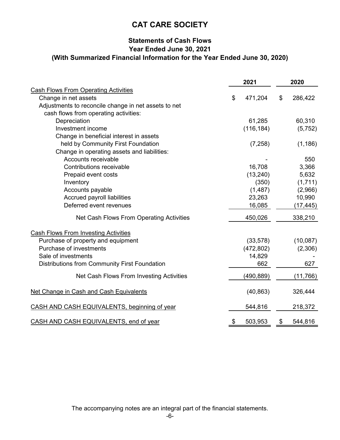# **Statements of Cash Flows Year Ended June 30, 2021**

# **(With Summarized Financial Information for the Year Ended June 30, 2020)**

|                                                      | 2021          | 2020          |
|------------------------------------------------------|---------------|---------------|
| <b>Cash Flows From Operating Activities</b>          |               |               |
| Change in net assets                                 | \$<br>471,204 | \$<br>286,422 |
| Adjustments to reconcile change in net assets to net |               |               |
| cash flows from operating activities:                |               |               |
| Depreciation                                         | 61,285        | 60,310        |
| Investment income                                    | (116, 184)    | (5, 752)      |
| Change in beneficial interest in assets              |               |               |
| held by Community First Foundation                   | (7, 258)      | (1, 186)      |
| Change in operating assets and liabilities:          |               |               |
| Accounts receivable                                  |               | 550           |
| Contributions receivable                             | 16,708        | 3,366         |
| Prepaid event costs                                  | (13, 240)     | 5,632         |
| Inventory                                            | (350)         | (1,711)       |
| Accounts payable                                     | (1, 487)      | (2,966)       |
| Accrued payroll liabilities                          | 23,263        | 10,990        |
| Deferred event revenues                              | 16,085        | (17, 445)     |
| Net Cash Flows From Operating Activities             | 450,026       | 338,210       |
| <b>Cash Flows From Investing Activities</b>          |               |               |
| Purchase of property and equipment                   | (33, 578)     | (10,087)      |
| Purchase of investments                              | (472, 802)    | (2,306)       |
| Sale of investments                                  | 14,829        |               |
| <b>Distributions from Community First Foundation</b> | 662           | 627           |
| Net Cash Flows From Investing Activities             | (490,889)     | (11, 766)     |
| Net Change in Cash and Cash Equivalents              | (40, 863)     | 326,444       |
| CASH AND CASH EQUIVALENTS, beginning of year         | 544,816       | 218,372       |
| CASH AND CASH EQUIVALENTS, end of year               | \$<br>503,953 | \$<br>544,816 |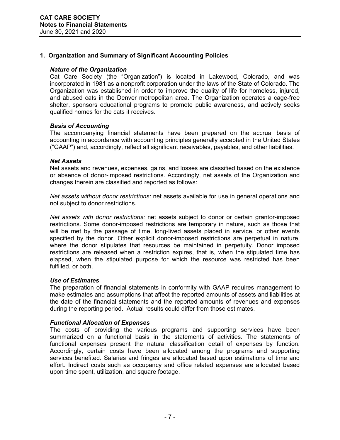#### *Nature of the Organization*

Cat Care Society (the "Organization") is located in Lakewood, Colorado, and was incorporated in 1981 as a nonprofit corporation under the laws of the State of Colorado. The Organization was established in order to improve the quality of life for homeless, injured, and abused cats in the Denver metropolitan area. The Organization operates a cage-free shelter, sponsors educational programs to promote public awareness, and actively seeks qualified homes for the cats it receives.

## *Basis of Accounting*

The accompanying financial statements have been prepared on the accrual basis of accounting in accordance with accounting principles generally accepted in the United States ("GAAP") and, accordingly, reflect all significant receivables, payables, and other liabilities.

#### *Net Assets*

Net assets and revenues, expenses, gains, and losses are classified based on the existence or absence of donor-imposed restrictions. Accordingly, net assets of the Organization and changes therein are classified and reported as follows:

*Net assets without donor restrictions:* net assets available for use in general operations and not subject to donor restrictions.

*Net assets with donor restrictions:* net assets subject to donor or certain grantor-imposed restrictions. Some donor-imposed restrictions are temporary in nature, such as those that will be met by the passage of time, long-lived assets placed in service, or other events specified by the donor. Other explicit donor-imposed restrictions are perpetual in nature, where the donor stipulates that resources be maintained in perpetuity. Donor imposed restrictions are released when a restriction expires, that is, when the stipulated time has elapsed, when the stipulated purpose for which the resource was restricted has been fulfilled, or both.

#### *Use of Estimates*

The preparation of financial statements in conformity with GAAP requires management to make estimates and assumptions that affect the reported amounts of assets and liabilities at the date of the financial statements and the reported amounts of revenues and expenses during the reporting period. Actual results could differ from those estimates.

## *Functional Allocation of Expenses*

The costs of providing the various programs and supporting services have been summarized on a functional basis in the statements of activities. The statements of functional expenses present the natural classification detail of expenses by function. Accordingly, certain costs have been allocated among the programs and supporting services benefited. Salaries and fringes are allocated based upon estimations of time and effort. Indirect costs such as occupancy and office related expenses are allocated based upon time spent, utilization, and square footage.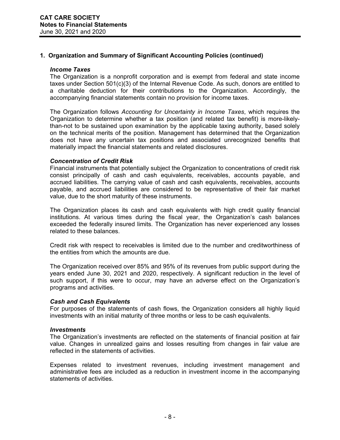#### *Income Taxes*

The Organization is a nonprofit corporation and is exempt from federal and state income taxes under Section 501(c)(3) of the Internal Revenue Code. As such, donors are entitled to a charitable deduction for their contributions to the Organization. Accordingly, the accompanying financial statements contain no provision for income taxes.

The Organization follows *Accounting for Uncertainty in Income Taxes*, which requires the Organization to determine whether a tax position (and related tax benefit) is more-likelythan-not to be sustained upon examination by the applicable taxing authority, based solely on the technical merits of the position. Management has determined that the Organization does not have any uncertain tax positions and associated unrecognized benefits that materially impact the financial statements and related disclosures.

## *Concentration of Credit Risk*

Financial instruments that potentially subject the Organization to concentrations of credit risk consist principally of cash and cash equivalents, receivables, accounts payable, and accrued liabilities. The carrying value of cash and cash equivalents, receivables, accounts payable, and accrued liabilities are considered to be representative of their fair market value, due to the short maturity of these instruments.

The Organization places its cash and cash equivalents with high credit quality financial institutions. At various times during the fiscal year, the Organization's cash balances exceeded the federally insured limits. The Organization has never experienced any losses related to these balances.

Credit risk with respect to receivables is limited due to the number and creditworthiness of the entities from which the amounts are due.

The Organization received over 85% and 95% of its revenues from public support during the years ended June 30, 2021 and 2020, respectively. A significant reduction in the level of such support, if this were to occur, may have an adverse effect on the Organization's programs and activities.

## *Cash and Cash Equivalents*

For purposes of the statements of cash flows, the Organization considers all highly liquid investments with an initial maturity of three months or less to be cash equivalents.

#### *Investments*

The Organization's investments are reflected on the statements of financial position at fair value. Changes in unrealized gains and losses resulting from changes in fair value are reflected in the statements of activities.

Expenses related to investment revenues, including investment management and administrative fees are included as a reduction in investment income in the accompanying statements of activities.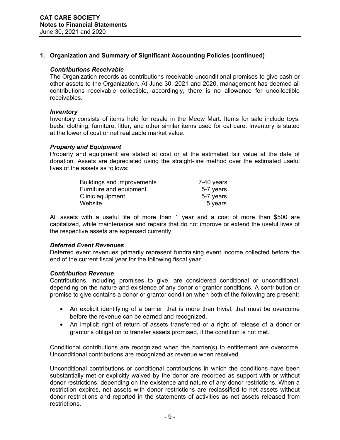## *Contributions Receivable*

The Organization records as contributions receivable unconditional promises to give cash or other assets to the Organization. At June 30, 2021 and 2020, management has deemed all contributions receivable collectible, accordingly, there is no allowance for uncollectible receivables.

## *Inventory*

Inventory consists of items held for resale in the Meow Mart. Items for sale include toys, beds, clothing, furniture, litter, and other similar items used for cat care. Inventory is stated at the lower of cost or net realizable market value.

## *Property and Equipment*

Property and equipment are stated at cost or at the estimated fair value at the date of donation. Assets are depreciated using the straight-line method over the estimated useful lives of the assets as follows:

| <b>Buildings and improvements</b> | 7-40 years |
|-----------------------------------|------------|
| Furniture and equipment           | 5-7 years  |
| Clinic equipment                  | 5-7 years  |
| Website                           | 5 years    |

All assets with a useful life of more than 1 year and a cost of more than \$500 are capitalized, while maintenance and repairs that do not improve or extend the useful lives of the respective assets are expensed currently.

## *Deferred Event Revenues*

Deferred event revenues primarily represent fundraising event income collected before the end of the current fiscal year for the following fiscal year.

## *Contribution Revenue*

Contributions, including promises to give, are considered conditional or unconditional, depending on the nature and existence of any donor or grantor conditions. A contribution or promise to give contains a donor or grantor condition when both of the following are present:

- An explicit identifying of a barrier, that is more than trivial, that must be overcome before the revenue can be earned and recognized.
- An implicit right of return of assets transferred or a right of release of a donor or grantor's obligation to transfer assets promised, if the condition is not met.

Conditional contributions are recognized when the barrier(s) to entitlement are overcome. Unconditional contributions are recognized as revenue when received.

Unconditional contributions or conditional contributions in which the conditions have been substantially met or explicitly waived by the donor are recorded as support with or without donor restrictions, depending on the existence and nature of any donor restrictions. When a restriction expires, net assets with donor restrictions are reclassified to net assets without donor restrictions and reported in the statements of activities as net assets released from restrictions.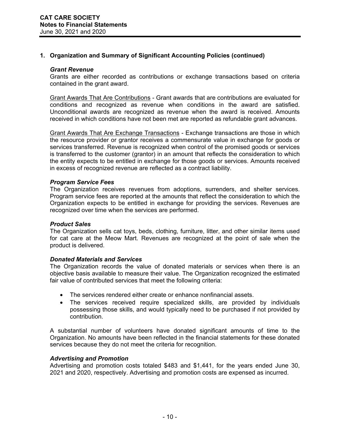#### *Grant Revenue*

Grants are either recorded as contributions or exchange transactions based on criteria contained in the grant award.

Grant Awards That Are Contributions - Grant awards that are contributions are evaluated for conditions and recognized as revenue when conditions in the award are satisfied. Unconditional awards are recognized as revenue when the award is received. Amounts received in which conditions have not been met are reported as refundable grant advances.

Grant Awards That Are Exchange Transactions - Exchange transactions are those in which the resource provider or grantor receives a commensurate value in exchange for goods or services transferred. Revenue is recognized when control of the promised goods or services is transferred to the customer (grantor) in an amount that reflects the consideration to which the entity expects to be entitled in exchange for those goods or services. Amounts received in excess of recognized revenue are reflected as a contract liability.

## *Program Service Fees*

The Organization receives revenues from adoptions, surrenders, and shelter services. Program service fees are reported at the amounts that reflect the consideration to which the Organization expects to be entitled in exchange for providing the services. Revenues are recognized over time when the services are performed.

## *Product Sales*

The Organization sells cat toys, beds, clothing, furniture, litter, and other similar items used for cat care at the Meow Mart. Revenues are recognized at the point of sale when the product is delivered.

## *Donated Materials and Services*

The Organization records the value of donated materials or services when there is an objective basis available to measure their value. The Organization recognized the estimated fair value of contributed services that meet the following criteria:

- The services rendered either create or enhance nonfinancial assets.
- The services received require specialized skills, are provided by individuals possessing those skills, and would typically need to be purchased if not provided by contribution.

A substantial number of volunteers have donated significant amounts of time to the Organization. No amounts have been reflected in the financial statements for these donated services because they do not meet the criteria for recognition.

## *Advertising and Promotion*

Advertising and promotion costs totaled \$483 and \$1,441, for the years ended June 30, 2021 and 2020, respectively. Advertising and promotion costs are expensed as incurred.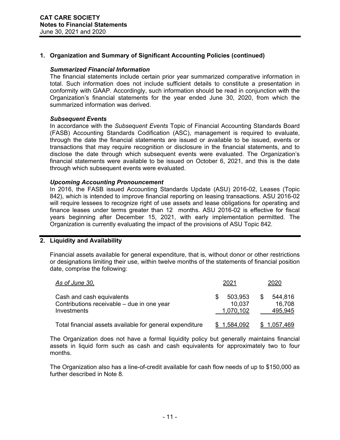#### *Summarized Financial Information*

The financial statements include certain prior year summarized comparative information in total. Such information does not include sufficient details to constitute a presentation in conformity with GAAP. Accordingly, such information should be read in conjunction with the Organization's financial statements for the year ended June 30, 2020, from which the summarized information was derived.

## *Subsequent Events*

In accordance with the *Subsequent Events* Topic of Financial Accounting Standards Board (FASB) Accounting Standards Codification (ASC), management is required to evaluate, through the date the financial statements are issued or available to be issued, events or transactions that may require recognition or disclosure in the financial statements, and to disclose the date through which subsequent events were evaluated. The Organization's financial statements were available to be issued on October 6, 2021, and this is the date through which subsequent events were evaluated.

#### *Upcoming Accounting Pronouncement*

In 2016, the FASB issued Accounting Standards Update (ASU) 2016-02, Leases (Topic 842), which is intended to improve financial reporting on leasing transactions. ASU 2016-02 will require lessees to recognize right of use assets and lease obligations for operating and finance leases under terms greater than 12 months. ASU 2016-02 is effective for fiscal years beginning after December 15, 2021, with early implementation permitted. The Organization is currently evaluating the impact of the provisions of ASU Topic 842.

## **2. Liquidity and Availability**

Financial assets available for general expenditure, that is, without donor or other restrictions or designations limiting their use, within twelve months of the statements of financial position date, comprise the following:

| As of June 30,                                                                         | 2021                           | 2020                               |
|----------------------------------------------------------------------------------------|--------------------------------|------------------------------------|
| Cash and cash equivalents<br>Contributions receivable – due in one year<br>Investments | 503,953<br>10,037<br>1,070,102 | 544,816<br>\$<br>16,708<br>495,945 |
| Total financial assets available for general expenditure                               | \$1,584,092                    | <u>1,057,469</u>                   |

The Organization does not have a formal liquidity policy but generally maintains financial assets in liquid form such as cash and cash equivalents for approximately two to four months.

The Organization also has a line-of-credit available for cash flow needs of up to \$150,000 as further described in Note 8.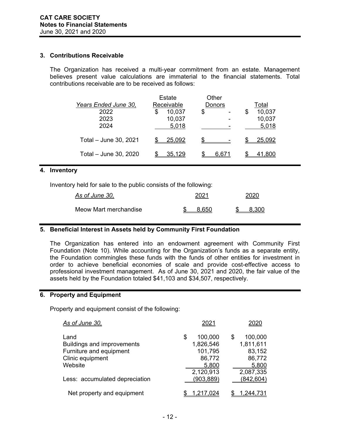## **3. Contributions Receivable**

The Organization has received a multi-year commitment from an estate. Management believes present value calculations are immaterial to the financial statements. Total contributions receivable are to be received as follows:

|                       | Estate<br>Other |        |              |
|-----------------------|-----------------|--------|--------------|
| Years Ended June 30,  | Receivable      | Donors | Total        |
| 2022                  | 10,037<br>S     | \$     | 10,037<br>\$ |
| 2023                  | 10,037          |        | 10,037       |
| 2024                  | 5,018           |        | 5,018        |
| Total - June 30, 2021 | 25,092          |        | 25,092       |
| Total - June 30, 2020 | 35.129          | 6.671  | -800         |

# **4. Inventory**

Inventory held for sale to the public consists of the following:

| As of June 30,        | 2021 |       | 2020 |       |
|-----------------------|------|-------|------|-------|
| Meow Mart merchandise |      | 8.650 |      | 8.300 |

# **5. Beneficial Interest in Assets held by Community First Foundation**

The Organization has entered into an endowment agreement with Community First Foundation (Note 10). While accounting for the Organization's funds as a separate entity, the Foundation commingles these funds with the funds of other entities for investment in order to achieve beneficial economies of scale and provide cost-effective access to professional investment management. As of June 30, 2021 and 2020, the fair value of the assets held by the Foundation totaled \$41,103 and \$34,507, respectively.

# **6. Property and Equipment**

Property and equipment consist of the following:

| As of June 30,                            | 2021                       | 2020                       |
|-------------------------------------------|----------------------------|----------------------------|
| Land<br><b>Buildings and improvements</b> | 100,000<br>\$<br>1,826,546 | 100,000<br>\$<br>1,811,611 |
| Furniture and equipment                   | 101,795                    | 83,152                     |
| Clinic equipment<br>Website               | 86,772<br>5,800            | 86,772<br>5,800            |
| Less: accumulated depreciation            | 2,120,913<br>(903,889)     | 2,087,335<br>(842, 604)    |
| Net property and equipment                | <u>217,024</u> .           | .244.731                   |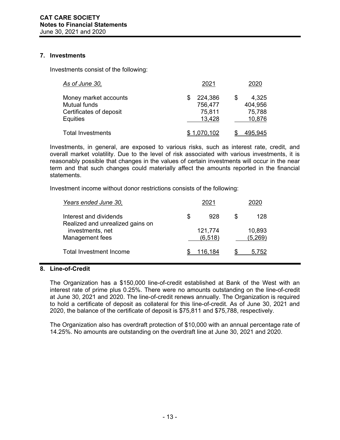# **7. Investments**

Investments consist of the following:

| As of June 30,                                                                      | 2021                                   | 2020                                 |
|-------------------------------------------------------------------------------------|----------------------------------------|--------------------------------------|
| Money market accounts<br><b>Mutual funds</b><br>Certificates of deposit<br>Equities | 224,386<br>756,477<br>75,811<br>13,428 | 4,325<br>404,956<br>75,788<br>10,876 |
| <b>Total Investments</b>                                                            | \$1,070,102                            | 495.945                              |

Investments, in general, are exposed to various risks, such as interest rate, credit, and overall market volatility. Due to the level of risk associated with various investments, it is reasonably possible that changes in the values of certain investments will occur in the near term and that such changes could materially affect the amounts reported in the financial statements.

Investment income without donor restrictions consists of the following:

| Years ended June 30,                                       |   | 2021               |     |                   |
|------------------------------------------------------------|---|--------------------|-----|-------------------|
| Interest and dividends<br>Realized and unrealized gains on | S | 928                | \$. | 128               |
| investments, net<br>Management fees                        |   | 121,774<br>(6.518) |     | 10,893<br>(5.269) |
| Total Investment Income                                    |   | 116,184            |     | 5.752             |

# **8. Line-of-Credit**

The Organization has a \$150,000 line-of-credit established at Bank of the West with an interest rate of prime plus 0.25%. There were no amounts outstanding on the line-of-credit at June 30, 2021 and 2020. The line-of-credit renews annually. The Organization is required to hold a certificate of deposit as collateral for this line-of-credit. As of June 30, 2021 and 2020, the balance of the certificate of deposit is \$75,811 and \$75,788, respectively.

The Organization also has overdraft protection of \$10,000 with an annual percentage rate of 14.25%. No amounts are outstanding on the overdraft line at June 30, 2021 and 2020.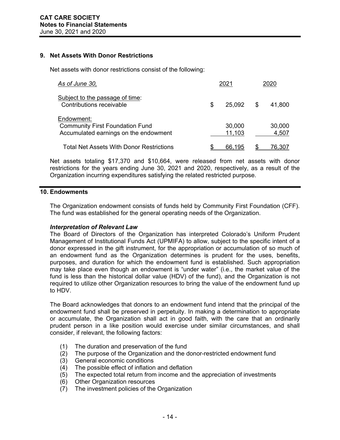# **9. Net Assets With Donor Restrictions**

Net assets with donor restrictions consist of the following:

| As of June 30,                                                                                | 2021             |     | 2020            |
|-----------------------------------------------------------------------------------------------|------------------|-----|-----------------|
| Subject to the passage of time:<br>Contributions receivable                                   | \$<br>25,092     | - S | 41,800          |
| Endowment:<br><b>Community First Foundation Fund</b><br>Accumulated earnings on the endowment | 30,000<br>11,103 |     | 30,000<br>4,507 |
| <b>Total Net Assets With Donor Restrictions</b>                                               | 66.195           |     | 76.307          |

Net assets totaling \$17,370 and \$10,664, were released from net assets with donor restrictions for the years ending June 30, 2021 and 2020, respectively, as a result of the Organization incurring expenditures satisfying the related restricted purpose.

# **10. Endowments**

The Organization endowment consists of funds held by Community First Foundation (CFF). The fund was established for the general operating needs of the Organization.

# *Interpretation of Relevant Law*

The Board of Directors of the Organization has interpreted Colorado's Uniform Prudent Management of Institutional Funds Act (UPMIFA) to allow, subject to the specific intent of a donor expressed in the gift instrument, for the appropriation or accumulation of so much of an endowment fund as the Organization determines is prudent for the uses, benefits, purposes, and duration for which the endowment fund is established. Such appropriation may take place even though an endowment is "under water" (i.e., the market value of the fund is less than the historical dollar value (HDV) of the fund), and the Organization is not required to utilize other Organization resources to bring the value of the endowment fund up to HDV.

The Board acknowledges that donors to an endowment fund intend that the principal of the endowment fund shall be preserved in perpetuity. In making a determination to appropriate or accumulate, the Organization shall act in good faith, with the care that an ordinarily prudent person in a like position would exercise under similar circumstances, and shall consider, if relevant, the following factors:

- (1) The duration and preservation of the fund
- (2) The purpose of the Organization and the donor-restricted endowment fund
- (3) General economic conditions
- (4) The possible effect of inflation and deflation
- (5) The expected total return from income and the appreciation of investments
- (6) Other Organization resources
- (7) The investment policies of the Organization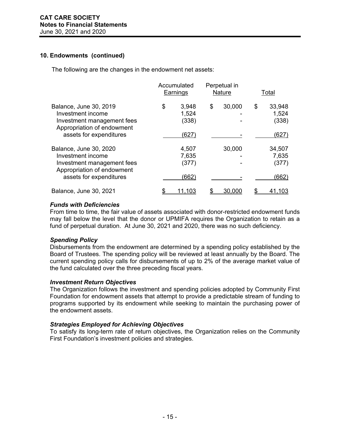# **10. Endowments (continued)**

The following are the changes in the endowment net assets:

|                                                                                                         | Accumulated<br>Earnings       | Perpetual in<br>Nature | Total                          |
|---------------------------------------------------------------------------------------------------------|-------------------------------|------------------------|--------------------------------|
| Balance, June 30, 2019<br>Investment income<br>Investment management fees<br>Appropriation of endowment | \$<br>3,948<br>1,524<br>(338) | \$<br>30,000           | \$<br>33,948<br>1,524<br>(338) |
| assets for expenditures                                                                                 | (627)                         |                        | (627)                          |
| Balance, June 30, 2020<br>Investment income<br>Investment management fees<br>Appropriation of endowment | 4,507<br>7,635<br>(377)       | 30,000                 | 34,507<br>7,635<br>(377)       |
| assets for expenditures                                                                                 | (662)                         |                        | (662)                          |
| Balance, June 30, 2021                                                                                  | 11.103                        | \$<br>30,000           | \$<br>41,103                   |

# *Funds with Deficiencies*

From time to time, the fair value of assets associated with donor-restricted endowment funds may fall below the level that the donor or UPMIFA requires the Organization to retain as a fund of perpetual duration. At June 30, 2021 and 2020, there was no such deficiency.

## *Spending Policy*

Disbursements from the endowment are determined by a spending policy established by the Board of Trustees. The spending policy will be reviewed at least annually by the Board. The current spending policy calls for disbursements of up to 2% of the average market value of the fund calculated over the three preceding fiscal years.

# *Investment Return Objectives*

The Organization follows the investment and spending policies adopted by Community First Foundation for endowment assets that attempt to provide a predictable stream of funding to programs supported by its endowment while seeking to maintain the purchasing power of the endowment assets.

# *Strategies Employed for Achieving Objectives*

To satisfy its long-term rate of return objectives, the Organization relies on the Community First Foundation's investment policies and strategies.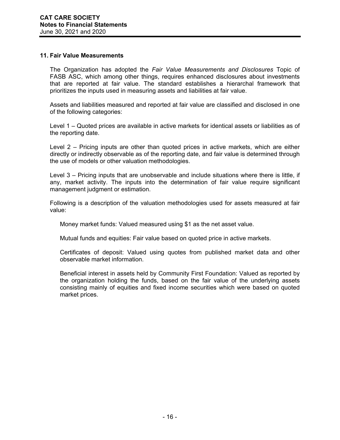## **11. Fair Value Measurements**

 The Organization has adopted the *Fair Value Measurements and Disclosures* Topic of FASB ASC, which among other things, requires enhanced disclosures about investments that are reported at fair value. The standard establishes a hierarchal framework that prioritizes the inputs used in measuring assets and liabilities at fair value.

 Assets and liabilities measured and reported at fair value are classified and disclosed in one of the following categories:

Level 1 – Quoted prices are available in active markets for identical assets or liabilities as of the reporting date.

Level 2 – Pricing inputs are other than quoted prices in active markets, which are either directly or indirectly observable as of the reporting date, and fair value is determined through the use of models or other valuation methodologies.

Level 3 – Pricing inputs that are unobservable and include situations where there is little, if any, market activity. The inputs into the determination of fair value require significant management judgment or estimation.

 Following is a description of the valuation methodologies used for assets measured at fair value:

Money market funds: Valued measured using \$1 as the net asset value.

Mutual funds and equities: Fair value based on quoted price in active markets.

Certificates of deposit: Valued using quotes from published market data and other observable market information.

 Beneficial interest in assets held by Community First Foundation: Valued as reported by the organization holding the funds, based on the fair value of the underlying assets consisting mainly of equities and fixed income securities which were based on quoted market prices.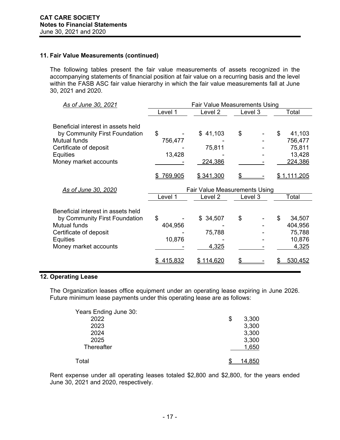# **11. Fair Value Measurements (continued)**

 The following tables present the fair value measurements of assets recognized in the accompanying statements of financial position at fair value on a recurring basis and the level within the FASB ASC fair value hierarchy in which the fair value measurements fall at June 30, 2021 and 2020.

| As of June 30, 2021                | <b>Fair Value Measurements Using</b> |                                      |         |              |
|------------------------------------|--------------------------------------|--------------------------------------|---------|--------------|
|                                    | Level 1                              | Level 2                              | Level 3 | Total        |
| Beneficial interest in assets held |                                      |                                      |         |              |
| by Community First Foundation      | \$                                   | \$41,103                             | \$      | \$<br>41,103 |
| Mutual funds                       | 756,477                              |                                      |         | 756,477      |
| Certificate of deposit             |                                      | 75,811                               |         | 75,811       |
| Equities                           | 13,428                               |                                      |         | 13,428       |
| Money market accounts              |                                      | 224,386                              |         | 224,386      |
|                                    | <u>769,905</u>                       | \$341,300                            |         | \$1,111,205  |
| As of June 30, 2020                |                                      | <b>Fair Value Measurements Using</b> |         |              |
|                                    | Level 1                              | Level 2                              | Level 3 | Total        |
| Beneficial interest in assets held |                                      |                                      |         |              |
| by Community First Foundation      | \$                                   | \$34,507                             | \$      | \$<br>34,507 |
| <b>Mutual funds</b>                | 404,956                              |                                      |         | 404,956      |
| Certificate of deposit             |                                      | 75,788                               |         | 75,788       |
| Equities                           | 10,876                               |                                      |         | 10,876       |
| Money market accounts              |                                      | 4,325                                |         | 4,325        |
|                                    | <u>\$415,832</u>                     | \$114,620                            |         | 530,452      |

# **12. Operating Lease**

The Organization leases office equipment under an operating lease expiring in June 2026. Future minimum lease payments under this operating lease are as follows:

| Years Ending June 30: |             |
|-----------------------|-------------|
| 2022                  | 3,300<br>\$ |
| 2023                  | 3,300       |
| 2024                  | 3,300       |
| 2025                  | 3,300       |
| <b>Thereafter</b>     | 1,650       |
| Total                 | 14,850      |

Rent expense under all operating leases totaled \$2,800 and \$2,800, for the years ended June 30, 2021 and 2020, respectively.